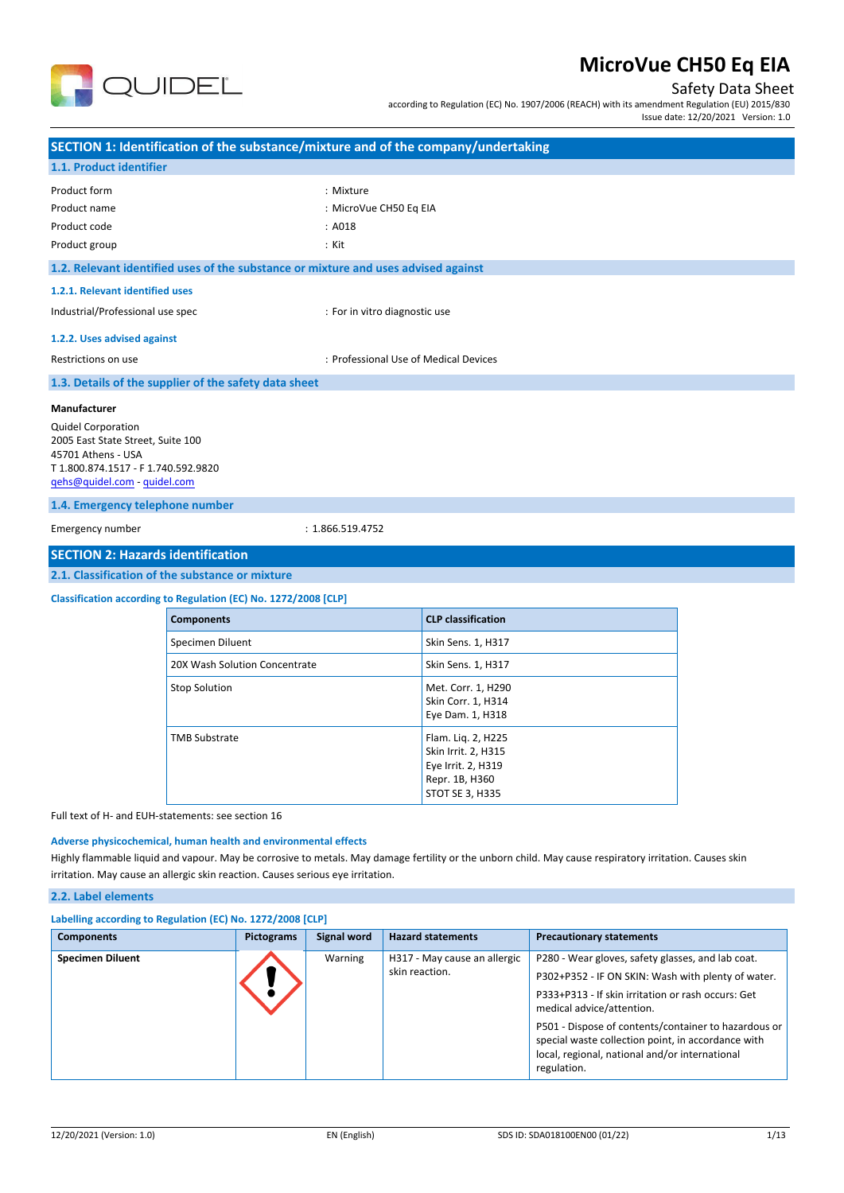

## Safety Data Sheet

according to Regulation (EC) No. 1907/2006 (REACH) with its amendment Regulation (EU) 2015/830 Issue date: 12/20/2021 Version: 1.0

| SECTION 1: Identification of the substance/mixture and of the company/undertaking                                                                           |                                                                 |                                                                                                                                                         |  |  |  |
|-------------------------------------------------------------------------------------------------------------------------------------------------------------|-----------------------------------------------------------------|---------------------------------------------------------------------------------------------------------------------------------------------------------|--|--|--|
| 1.1. Product identifier                                                                                                                                     |                                                                 |                                                                                                                                                         |  |  |  |
|                                                                                                                                                             |                                                                 |                                                                                                                                                         |  |  |  |
| Product form                                                                                                                                                |                                                                 | : Mixture                                                                                                                                               |  |  |  |
| Product name                                                                                                                                                |                                                                 | : MicroVue CH50 Eq EIA                                                                                                                                  |  |  |  |
| Product code                                                                                                                                                |                                                                 | : A018                                                                                                                                                  |  |  |  |
| Product group                                                                                                                                               |                                                                 | : Kit                                                                                                                                                   |  |  |  |
|                                                                                                                                                             |                                                                 | 1.2. Relevant identified uses of the substance or mixture and uses advised against                                                                      |  |  |  |
| 1.2.1. Relevant identified uses                                                                                                                             |                                                                 |                                                                                                                                                         |  |  |  |
| Industrial/Professional use spec                                                                                                                            |                                                                 | : For in vitro diagnostic use                                                                                                                           |  |  |  |
| 1.2.2. Uses advised against                                                                                                                                 |                                                                 |                                                                                                                                                         |  |  |  |
| Restrictions on use                                                                                                                                         |                                                                 | : Professional Use of Medical Devices                                                                                                                   |  |  |  |
|                                                                                                                                                             | 1.3. Details of the supplier of the safety data sheet           |                                                                                                                                                         |  |  |  |
| Manufacturer                                                                                                                                                |                                                                 |                                                                                                                                                         |  |  |  |
| <b>Quidel Corporation</b><br>2005 East State Street, Suite 100<br>45701 Athens - USA<br>T 1.800.874.1517 - F 1.740.592.9820<br>qehs@quidel.com - quidel.com |                                                                 |                                                                                                                                                         |  |  |  |
| 1.4. Emergency telephone number                                                                                                                             |                                                                 |                                                                                                                                                         |  |  |  |
| Emergency number                                                                                                                                            |                                                                 | : 1.866.519.4752                                                                                                                                        |  |  |  |
| <b>SECTION 2: Hazards identification</b>                                                                                                                    |                                                                 |                                                                                                                                                         |  |  |  |
|                                                                                                                                                             | 2.1. Classification of the substance or mixture                 |                                                                                                                                                         |  |  |  |
|                                                                                                                                                             | Classification according to Regulation (EC) No. 1272/2008 [CLP] |                                                                                                                                                         |  |  |  |
|                                                                                                                                                             | <b>Components</b>                                               | <b>CLP</b> classification                                                                                                                               |  |  |  |
|                                                                                                                                                             | Specimen Diluent                                                | Skin Sens. 1, H317                                                                                                                                      |  |  |  |
|                                                                                                                                                             | 20X Wash Solution Concentrate                                   | Skin Sens. 1, H317                                                                                                                                      |  |  |  |
|                                                                                                                                                             | <b>Stop Solution</b>                                            | Met. Corr. 1, H290<br>Skin Corr. 1, H314<br>Eye Dam. 1, H318                                                                                            |  |  |  |
|                                                                                                                                                             | <b>TMB Substrate</b>                                            | Flam. Liq. 2, H225<br>Skin Irrit. 2, H315<br>Eye Irrit. 2, H319<br>Repr. 1B, H360<br><b>STOT SE 3, H335</b>                                             |  |  |  |
| Full text of H- and EUH-statements: see section 16                                                                                                          |                                                                 |                                                                                                                                                         |  |  |  |
| Adverse physicochemical, human health and environmental effects                                                                                             |                                                                 |                                                                                                                                                         |  |  |  |
|                                                                                                                                                             |                                                                 | Highly flammable liquid and vapour. May be corrosive to metals. May damage fertility or the unborn child. May cause respiratory irritation. Causes skin |  |  |  |
| irritation. May cause an allergic skin reaction. Causes serious eye irritation.                                                                             |                                                                 |                                                                                                                                                         |  |  |  |

### **2.2. Label elements**

| Labelling according to Regulation (EC) No. 1272/2008 [CLP] |                   |             |                                                |                                                                                                                                                                                                                                                                                                                                                                           |  |  |
|------------------------------------------------------------|-------------------|-------------|------------------------------------------------|---------------------------------------------------------------------------------------------------------------------------------------------------------------------------------------------------------------------------------------------------------------------------------------------------------------------------------------------------------------------------|--|--|
| <b>Components</b>                                          | <b>Pictograms</b> | Signal word | <b>Hazard statements</b>                       | <b>Precautionary statements</b>                                                                                                                                                                                                                                                                                                                                           |  |  |
| <b>Specimen Diluent</b>                                    |                   | Warning     | H317 - May cause an allergic<br>skin reaction. | P280 - Wear gloves, safety glasses, and lab coat.<br>P302+P352 - IF ON SKIN: Wash with plenty of water.<br>P333+P313 - If skin irritation or rash occurs: Get<br>medical advice/attention.<br>P501 - Dispose of contents/container to hazardous or<br>special waste collection point, in accordance with<br>local, regional, national and/or international<br>regulation. |  |  |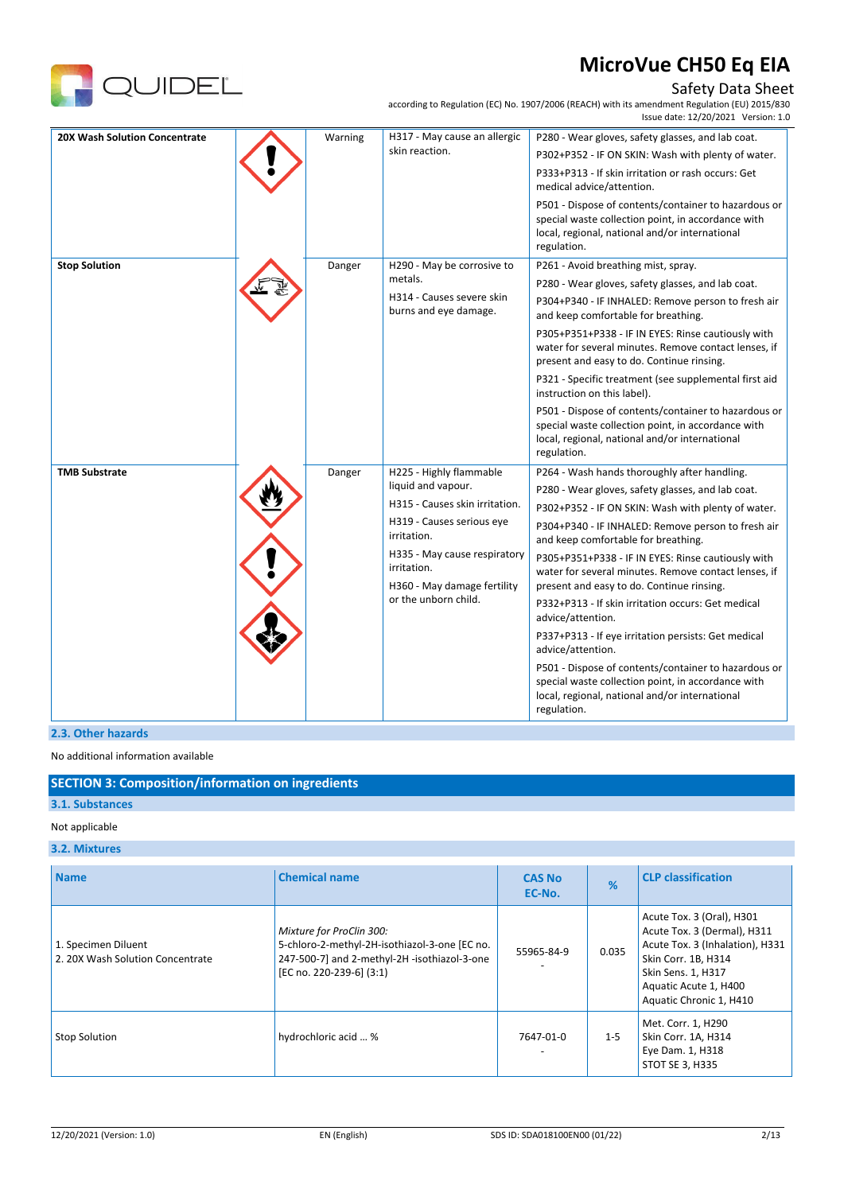

## Safety Data Sheet

according to Regulation (EC) No. 1907/2006 (REACH) with its amendment Regulation (EU) 2015/830

|                               |         |                                                    | Issue date: 12/20/2021 Version: 1.0                                                                                                                                         |
|-------------------------------|---------|----------------------------------------------------|-----------------------------------------------------------------------------------------------------------------------------------------------------------------------------|
| 20X Wash Solution Concentrate | Warning | H317 - May cause an allergic                       | P280 - Wear gloves, safety glasses, and lab coat.                                                                                                                           |
|                               |         | skin reaction.                                     | P302+P352 - IF ON SKIN: Wash with plenty of water.                                                                                                                          |
|                               |         |                                                    | P333+P313 - If skin irritation or rash occurs: Get<br>medical advice/attention.                                                                                             |
|                               |         |                                                    | P501 - Dispose of contents/container to hazardous or<br>special waste collection point, in accordance with<br>local, regional, national and/or international<br>regulation. |
| <b>Stop Solution</b>          | Danger  | H290 - May be corrosive to                         | P261 - Avoid breathing mist, spray.                                                                                                                                         |
|                               |         | metals.                                            | P280 - Wear gloves, safety glasses, and lab coat.                                                                                                                           |
|                               |         | H314 - Causes severe skin<br>burns and eye damage. | P304+P340 - IF INHALED: Remove person to fresh air<br>and keep comfortable for breathing.                                                                                   |
|                               |         |                                                    | P305+P351+P338 - IF IN EYES: Rinse cautiously with<br>water for several minutes. Remove contact lenses, if<br>present and easy to do. Continue rinsing.                     |
|                               |         |                                                    | P321 - Specific treatment (see supplemental first aid<br>instruction on this label).                                                                                        |
|                               |         |                                                    | P501 - Dispose of contents/container to hazardous or<br>special waste collection point, in accordance with<br>local, regional, national and/or international<br>regulation. |
| <b>TMB Substrate</b>          | Danger  | H225 - Highly flammable                            | P264 - Wash hands thoroughly after handling.                                                                                                                                |
|                               |         | liquid and vapour.                                 | P280 - Wear gloves, safety glasses, and lab coat.                                                                                                                           |
|                               |         | H315 - Causes skin irritation.                     | P302+P352 - IF ON SKIN: Wash with plenty of water.                                                                                                                          |
|                               |         | H319 - Causes serious eye<br>irritation.           | P304+P340 - IF INHALED: Remove person to fresh air<br>and keep comfortable for breathing.                                                                                   |
|                               |         | H335 - May cause respiratory<br>irritation.        | P305+P351+P338 - IF IN EYES: Rinse cautiously with<br>water for several minutes. Remove contact lenses, if                                                                  |
|                               |         | H360 - May damage fertility                        | present and easy to do. Continue rinsing.                                                                                                                                   |
|                               |         | or the unborn child.                               | P332+P313 - If skin irritation occurs: Get medical<br>advice/attention.                                                                                                     |
|                               |         |                                                    | P337+P313 - If eye irritation persists: Get medical<br>advice/attention.                                                                                                    |
|                               |         |                                                    | P501 - Dispose of contents/container to hazardous or<br>special waste collection point, in accordance with<br>local, regional, national and/or international<br>regulation. |

### **2.3. Other hazards**

No additional information available

## **SECTION 3: Composition/information on ingredients**

## **3.1. Substances**

### Not applicable

### **3.2. Mixtures**

| <b>Name</b>                                            | <b>Chemical name</b>                                                                                                                                  | <b>CAS No</b><br>EC-No. | %       | <b>CLP classification</b>                                                                                                                                                                    |
|--------------------------------------------------------|-------------------------------------------------------------------------------------------------------------------------------------------------------|-------------------------|---------|----------------------------------------------------------------------------------------------------------------------------------------------------------------------------------------------|
| 1. Specimen Diluent<br>2.20X Wash Solution Concentrate | Mixture for ProClin 300:<br>5-chloro-2-methyl-2H-isothiazol-3-one [EC no.<br>247-500-7] and 2-methyl-2H -isothiazol-3-one<br>[EC no. 220-239-6] (3:1) | 55965-84-9              | 0.035   | Acute Tox. 3 (Oral), H301<br>Acute Tox. 3 (Dermal), H311<br>Acute Tox. 3 (Inhalation), H331<br>Skin Corr. 1B, H314<br>Skin Sens. 1, H317<br>Aquatic Acute 1, H400<br>Aquatic Chronic 1, H410 |
| <b>Stop Solution</b>                                   | hydrochloric acid  %                                                                                                                                  | 7647-01-0               | $1 - 5$ | Met. Corr. 1, H290<br>Skin Corr. 1A, H314<br>Eye Dam. 1, H318<br>STOT SE 3, H335                                                                                                             |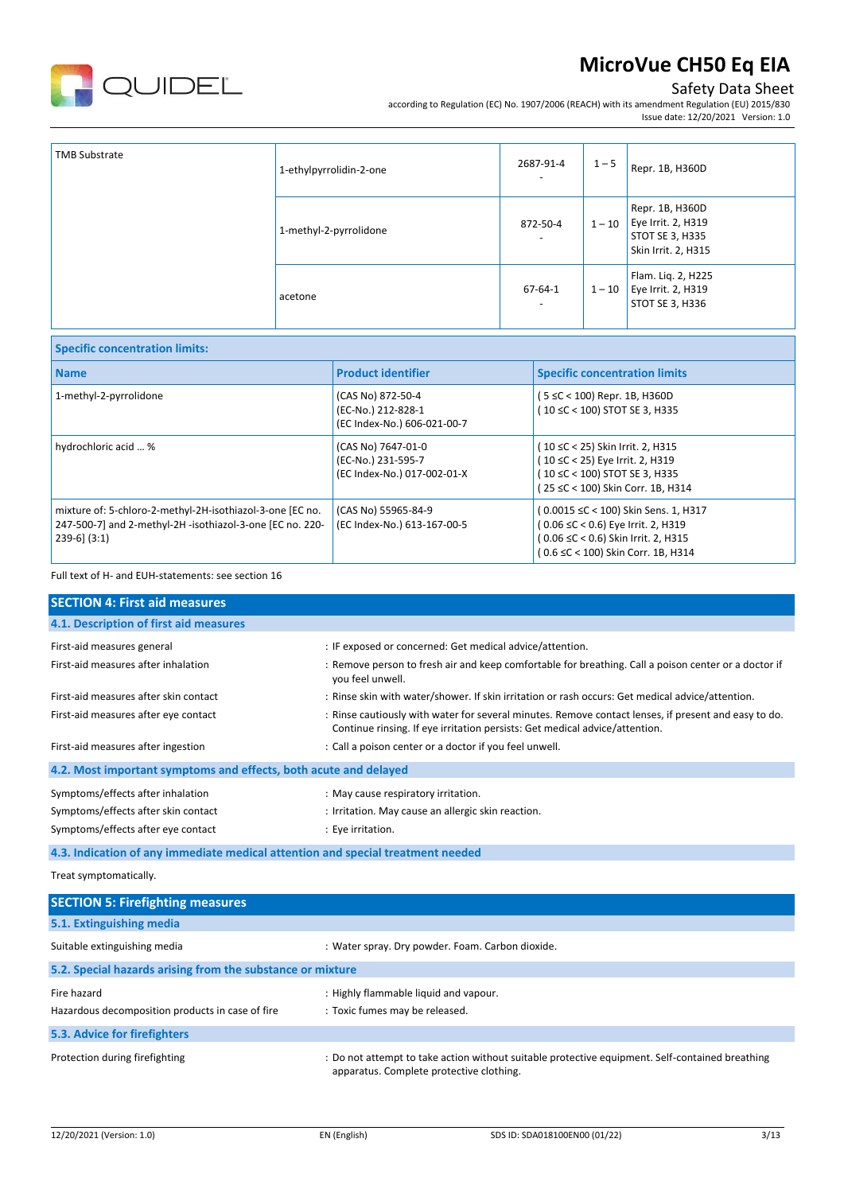

## Safety Data Sheet

according to Regulation (EC) No. 1907/2006 (REACH) with its amendment Regulation (EU) 2015/830 Issue date: 12/20/2021 Version: 1.0

| <b>TMB Substrate</b> | 1-ethylpyrrolidin-2-one | 2687-91-4                                 | $1 - 5$  | Repr. 1B, H360D                                                                 |
|----------------------|-------------------------|-------------------------------------------|----------|---------------------------------------------------------------------------------|
|                      | 1-methyl-2-pyrrolidone  | 872-50-4                                  | $1 - 10$ | Repr. 1B, H360D<br>Eye Irrit. 2, H319<br>STOT SE 3, H335<br>Skin Irrit. 2, H315 |
|                      | acetone                 | $67 - 64 - 1$<br>$\overline{\phantom{a}}$ | $1 - 10$ | Flam. Liq. 2, H225<br>Eye Irrit. 2, H319<br>STOT SE 3, H336                     |

| <b>Specific concentration limits:</b>                                                                                                       |                                                                         |                                                                                                                                                         |  |  |  |
|---------------------------------------------------------------------------------------------------------------------------------------------|-------------------------------------------------------------------------|---------------------------------------------------------------------------------------------------------------------------------------------------------|--|--|--|
| <b>Name</b>                                                                                                                                 | <b>Product identifier</b>                                               | <b>Specific concentration limits</b>                                                                                                                    |  |  |  |
| 1-methyl-2-pyrrolidone                                                                                                                      | (CAS No) 872-50-4<br>(EC-No.) 212-828-1<br>(EC Index-No.) 606-021-00-7  | (5 ≤C < 100) Repr. 1B, H360D<br>(10 ≤C < 100) STOT SE 3, H335                                                                                           |  |  |  |
| hydrochloric acid  %                                                                                                                        | (CAS No) 7647-01-0<br>(EC-No.) 231-595-7<br>(EC Index-No.) 017-002-01-X | (10 ≤C < 25) Skin Irrit. 2, H315<br>(10 ≤C < 25) Eye Irrit. 2, H319<br>(10 ≤C < 100) STOT SE 3, H335<br>(25 ≤C < 100) Skin Corr. 1B, H314               |  |  |  |
| mixture of: 5-chloro-2-methyl-2H-isothiazol-3-one [EC no.<br>247-500-7] and 2-methyl-2H -isothiazol-3-one [EC no. 220-<br>$239-6$ ] $(3:1)$ | (CAS No) 55965-84-9<br>(EC Index-No.) 613-167-00-5                      | (0.0015 ≤C < 100) Skin Sens. 1, H317<br>(0.06 ≤C < 0.6) Eye Irrit. 2, H319<br>(0.06 ≤C < 0.6) Skin Irrit. 2, H315<br>(0.6 ≤C < 100) Skin Corr. 1B, H314 |  |  |  |

Full text of H- and EUH-statements: see section 16

| <b>SECTION 4: First aid measures</b>                                            |                                                                                                                                                                                     |  |  |  |  |
|---------------------------------------------------------------------------------|-------------------------------------------------------------------------------------------------------------------------------------------------------------------------------------|--|--|--|--|
| 4.1. Description of first aid measures                                          |                                                                                                                                                                                     |  |  |  |  |
| First-aid measures general                                                      | : IF exposed or concerned: Get medical advice/attention.                                                                                                                            |  |  |  |  |
| First-aid measures after inhalation                                             | : Remove person to fresh air and keep comfortable for breathing. Call a poison center or a doctor if<br>you feel unwell.                                                            |  |  |  |  |
| First-aid measures after skin contact                                           | : Rinse skin with water/shower. If skin irritation or rash occurs: Get medical advice/attention.                                                                                    |  |  |  |  |
| First-aid measures after eye contact                                            | : Rinse cautiously with water for several minutes. Remove contact lenses, if present and easy to do.<br>Continue rinsing. If eye irritation persists: Get medical advice/attention. |  |  |  |  |
| First-aid measures after ingestion                                              | : Call a poison center or a doctor if you feel unwell.                                                                                                                              |  |  |  |  |
| 4.2. Most important symptoms and effects, both acute and delayed                |                                                                                                                                                                                     |  |  |  |  |
| Symptoms/effects after inhalation                                               | : May cause respiratory irritation.                                                                                                                                                 |  |  |  |  |
| Symptoms/effects after skin contact                                             | : Irritation. May cause an allergic skin reaction.                                                                                                                                  |  |  |  |  |
| Symptoms/effects after eye contact                                              | : Eye irritation.                                                                                                                                                                   |  |  |  |  |
| 4.3. Indication of any immediate medical attention and special treatment needed |                                                                                                                                                                                     |  |  |  |  |
| Treat symptomatically.                                                          |                                                                                                                                                                                     |  |  |  |  |

| <b>SECTION 5: Firefighting measures</b>                    |                                                                                                                                             |
|------------------------------------------------------------|---------------------------------------------------------------------------------------------------------------------------------------------|
| 5.1. Extinguishing media                                   |                                                                                                                                             |
| Suitable extinguishing media                               | : Water spray. Dry powder. Foam. Carbon dioxide.                                                                                            |
| 5.2. Special hazards arising from the substance or mixture |                                                                                                                                             |
| Fire hazard                                                | : Highly flammable liquid and vapour.                                                                                                       |
| Hazardous decomposition products in case of fire           | : Toxic fumes may be released.                                                                                                              |
| 5.3. Advice for firefighters                               |                                                                                                                                             |
| Protection during firefighting                             | : Do not attempt to take action without suitable protective equipment. Self-contained breathing<br>apparatus. Complete protective clothing. |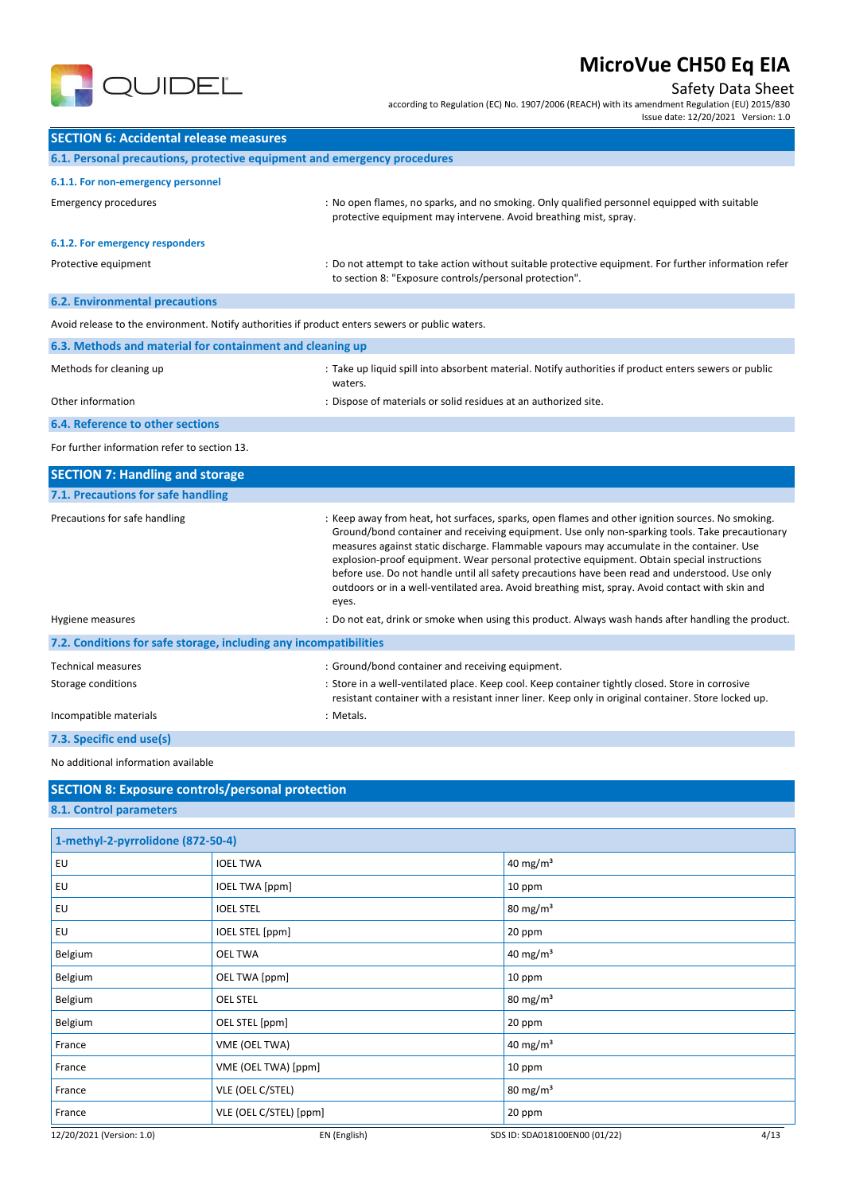

Safety Data Sheet

according to Regulation (EC) No. 1907/2006 (REACH) with its amendment Regulation (EU) 2015/830 Issue date: 12/20/2021 Version: 1.0

| <b>SECTION 6: Accidental release measures</b>                                                   |                                                                                                                                                                                                    |
|-------------------------------------------------------------------------------------------------|----------------------------------------------------------------------------------------------------------------------------------------------------------------------------------------------------|
| 6.1. Personal precautions, protective equipment and emergency procedures                        |                                                                                                                                                                                                    |
| 6.1.1. For non-emergency personnel                                                              |                                                                                                                                                                                                    |
| <b>Emergency procedures</b>                                                                     | : No open flames, no sparks, and no smoking. Only qualified personnel equipped with suitable<br>protective equipment may intervene. Avoid breathing mist, spray.                                   |
| 6.1.2. For emergency responders                                                                 |                                                                                                                                                                                                    |
| Protective equipment                                                                            | : Do not attempt to take action without suitable protective equipment. For further information refer<br>to section 8: "Exposure controls/personal protection".                                     |
| <b>6.2. Environmental precautions</b>                                                           |                                                                                                                                                                                                    |
| Avoid release to the environment. Notify authorities if product enters sewers or public waters. |                                                                                                                                                                                                    |
| 6.3. Methods and material for containment and cleaning up                                       |                                                                                                                                                                                                    |
| Methods for cleaning up                                                                         | : Take up liquid spill into absorbent material. Notify authorities if product enters sewers or public<br>waters.                                                                                   |
| Other information                                                                               | : Dispose of materials or solid residues at an authorized site.                                                                                                                                    |
| <b>6.4. Reference to other sections</b>                                                         |                                                                                                                                                                                                    |
| For further information refer to section 13.                                                    |                                                                                                                                                                                                    |
| <b>SECTION 7: Handling and storage</b>                                                          |                                                                                                                                                                                                    |
| 7.1. Precautions for safe handling                                                              |                                                                                                                                                                                                    |
| Precautions for safe handling                                                                   | : Keep away from heat, hot surfaces, sparks, open flames and other ignition sources. No smoking.<br>Ground/bond container and receiving equipment. Use only non-sparking tools. Take precautionary |

|                                                                   | measures against static discharge. Flammable vapours may accumulate in the container. Use<br>explosion-proof equipment. Wear personal protective equipment. Obtain special instructions<br>before use. Do not handle until all safety precautions have been read and understood. Use only<br>outdoors or in a well-ventilated area. Avoid breathing mist, spray. Avoid contact with skin and<br>eyes. |
|-------------------------------------------------------------------|-------------------------------------------------------------------------------------------------------------------------------------------------------------------------------------------------------------------------------------------------------------------------------------------------------------------------------------------------------------------------------------------------------|
| Hygiene measures                                                  | : Do not eat, drink or smoke when using this product. Always wash hands after handling the product.                                                                                                                                                                                                                                                                                                   |
| 7.2. Conditions for safe storage, including any incompatibilities |                                                                                                                                                                                                                                                                                                                                                                                                       |
| <b>Technical measures</b>                                         | : Ground/bond container and receiving equipment.                                                                                                                                                                                                                                                                                                                                                      |
| Storage conditions                                                | : Store in a well-ventilated place. Keep cool. Keep container tightly closed. Store in corrosive<br>resistant container with a resistant inner liner. Keep only in original container. Store locked up.                                                                                                                                                                                               |
| Incompatible materials                                            | : Metals.                                                                                                                                                                                                                                                                                                                                                                                             |
| 7.3. Specific end use(s)                                          |                                                                                                                                                                                                                                                                                                                                                                                                       |

No additional information available

| <b>SECTION 8: Exposure controls/personal protection</b> |  |
|---------------------------------------------------------|--|
| 8.1. Control parameters                                 |  |

| 1-methyl-2-pyrrolidone (872-50-4) |                        |                               |      |
|-----------------------------------|------------------------|-------------------------------|------|
| EU                                | <b>IOEL TWA</b>        | 40 mg/m <sup>3</sup>          |      |
| EU                                | <b>IOEL TWA [ppm]</b>  | 10 ppm                        |      |
| EU                                | <b>IOEL STEL</b>       | $80 \text{ mg/m}^3$           |      |
| EU                                | IOEL STEL [ppm]        | 20 ppm                        |      |
| Belgium                           | <b>OEL TWA</b>         | 40 mg/m <sup>3</sup>          |      |
| Belgium                           | OEL TWA [ppm]          | 10 ppm                        |      |
| Belgium                           | <b>OEL STEL</b>        | 80 mg/m <sup>3</sup>          |      |
| Belgium                           | OEL STEL [ppm]         | 20 ppm                        |      |
| France                            | VME (OEL TWA)          | 40 mg/m <sup>3</sup>          |      |
| France                            | VME (OEL TWA) [ppm]    | 10 ppm                        |      |
| France                            | VLE (OEL C/STEL)       | $80 \text{ mg/m}^3$           |      |
| France                            | VLE (OEL C/STEL) [ppm] | 20 ppm                        |      |
| 12/20/2021 (Version: 1.0)         | EN (English)           | SDS ID: SDA018100EN00 (01/22) | 4/13 |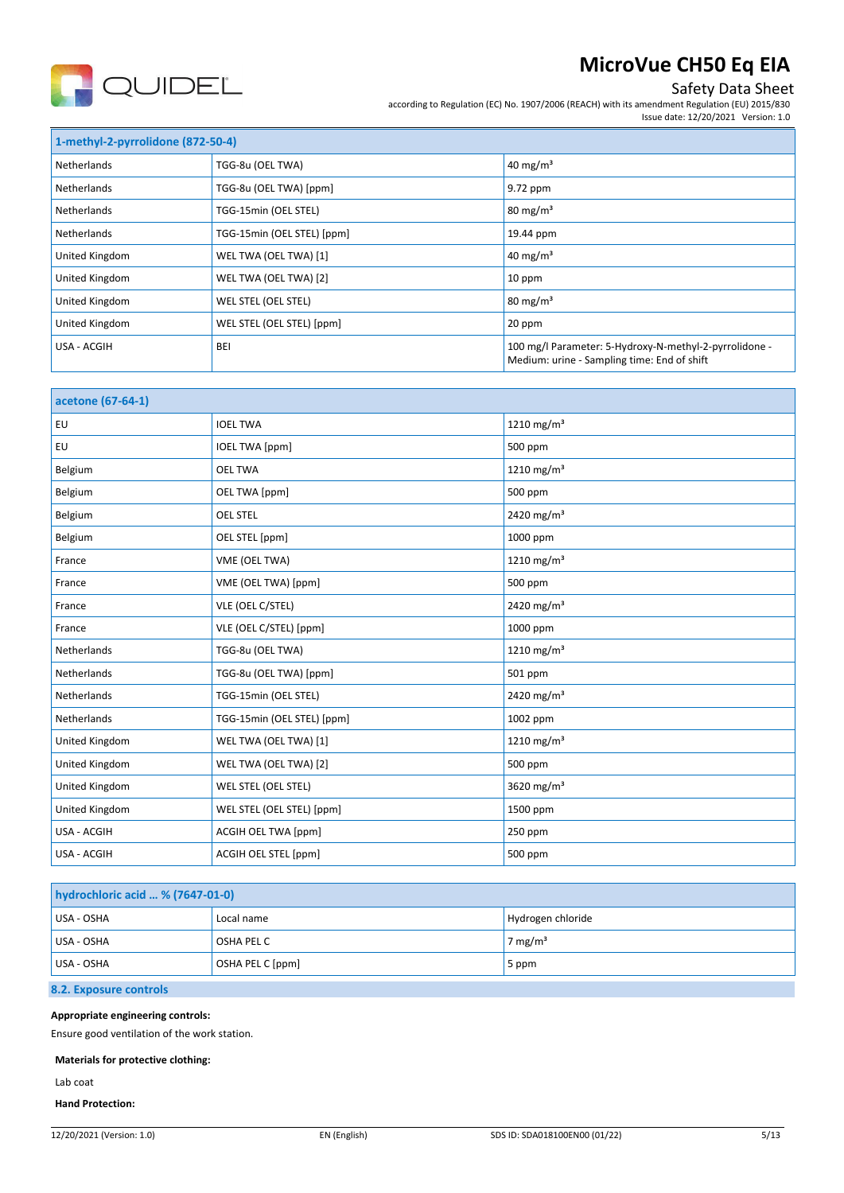

## Safety Data Sheet

according to Regulation (EC) No. 1907/2006 (REACH) with its amendment Regulation (EU) 2015/830 Issue date: 12/20/2021 Version: 1.0

| 1-methyl-2-pyrrolidone (872-50-4) |                            |                                                                                                       |
|-----------------------------------|----------------------------|-------------------------------------------------------------------------------------------------------|
| Netherlands                       | TGG-8u (OEL TWA)           | 40 mg/m <sup>3</sup>                                                                                  |
| Netherlands                       | TGG-8u (OEL TWA) [ppm]     | 9.72 ppm                                                                                              |
| Netherlands                       | TGG-15min (OEL STEL)       | $80 \text{ mg/m}^3$                                                                                   |
| Netherlands                       | TGG-15min (OEL STEL) [ppm] | 19.44 ppm                                                                                             |
| United Kingdom                    | WEL TWA (OEL TWA) [1]      | 40 mg/m <sup>3</sup>                                                                                  |
| United Kingdom                    | WEL TWA (OEL TWA) [2]      | 10 ppm                                                                                                |
| United Kingdom                    | WEL STEL (OEL STEL)        | $80 \text{ mg/m}^3$                                                                                   |
| United Kingdom                    | WEL STEL (OEL STEL) [ppm]  | 20 ppm                                                                                                |
| USA - ACGIH                       | <b>BEI</b>                 | 100 mg/l Parameter: 5-Hydroxy-N-methyl-2-pyrrolidone -<br>Medium: urine - Sampling time: End of shift |

| acetone (67-64-1) |                            |                        |
|-------------------|----------------------------|------------------------|
| EU                | <b>IOEL TWA</b>            | 1210 mg/m <sup>3</sup> |
| EU                | <b>IOEL TWA [ppm]</b>      | 500 ppm                |
| Belgium           | <b>OEL TWA</b>             | 1210 mg/m <sup>3</sup> |
| Belgium           | OEL TWA [ppm]              | 500 ppm                |
| Belgium           | <b>OEL STEL</b>            | 2420 mg/m <sup>3</sup> |
| Belgium           | OEL STEL [ppm]             | 1000 ppm               |
| France            | VME (OEL TWA)              | 1210 mg/m <sup>3</sup> |
| France            | VME (OEL TWA) [ppm]        | 500 ppm                |
| France            | VLE (OEL C/STEL)           | 2420 mg/m <sup>3</sup> |
| France            | VLE (OEL C/STEL) [ppm]     | 1000 ppm               |
| Netherlands       | TGG-8u (OEL TWA)           | 1210 mg/m <sup>3</sup> |
| Netherlands       | TGG-8u (OEL TWA) [ppm]     | 501 ppm                |
| Netherlands       | TGG-15min (OEL STEL)       | 2420 mg/m <sup>3</sup> |
| Netherlands       | TGG-15min (OEL STEL) [ppm] | 1002 ppm               |
| United Kingdom    | WEL TWA (OEL TWA) [1]      | 1210 mg/m <sup>3</sup> |
| United Kingdom    | WEL TWA (OEL TWA) [2]      | 500 ppm                |
| United Kingdom    | WEL STEL (OEL STEL)        | 3620 mg/m <sup>3</sup> |
| United Kingdom    | WEL STEL (OEL STEL) [ppm]  | 1500 ppm               |
| USA - ACGIH       | ACGIH OEL TWA [ppm]        | 250 ppm                |
| USA - ACGIH       | ACGIH OEL STEL [ppm]       | 500 ppm                |

| hydrochloric acid  % (7647-01-0) |                  |                     |
|----------------------------------|------------------|---------------------|
| USA - OSHA                       | Local name       | Hydrogen chloride   |
| USA - OSHA                       | OSHA PEL C       | 7 mg/m <sup>3</sup> |
| USA - OSHA                       | OSHA PEL C [ppm] | 5 ppm               |

### **8.2. Exposure controls**

#### **Appropriate engineering controls:**

Ensure good ventilation of the work station.

#### **Materials for protective clothing:**

Lab coat

#### **Hand Protection:**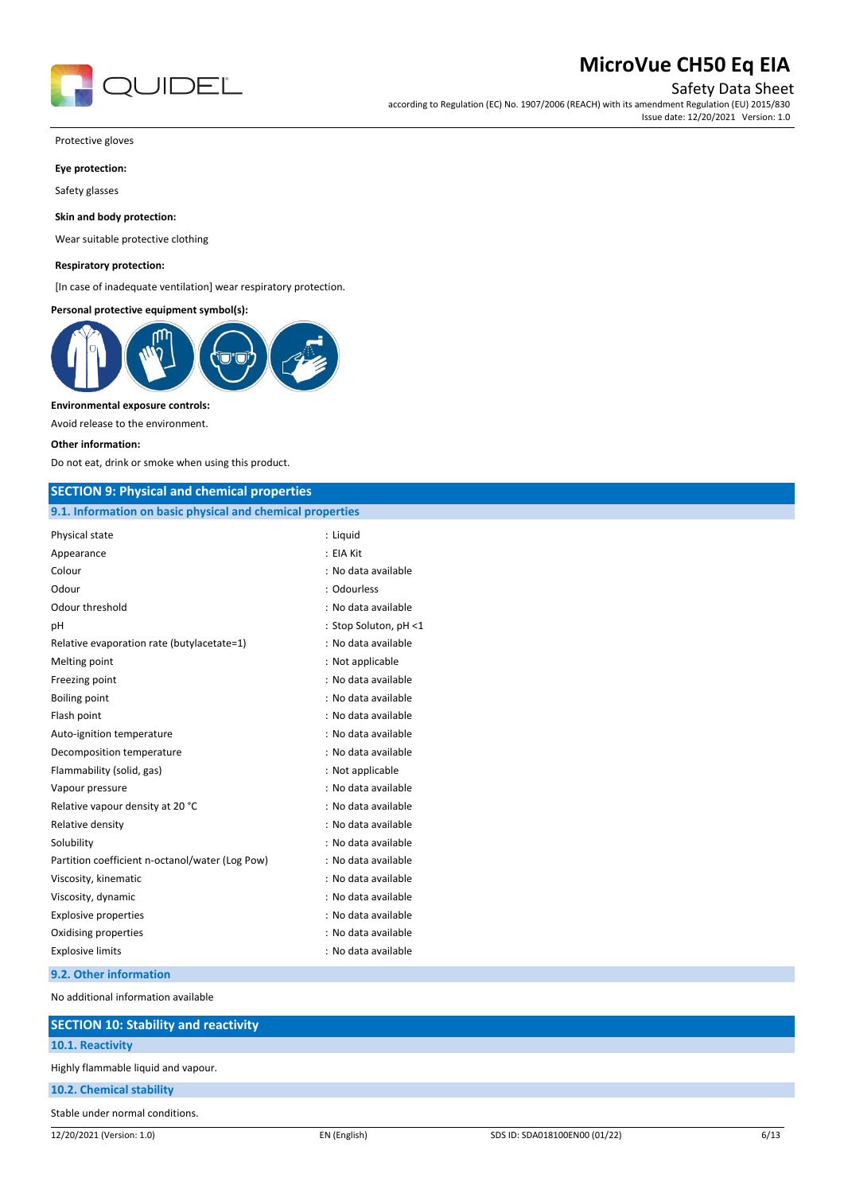

Safety Data Sheet

according to Regulation (EC) No. 1907/2006 (REACH) with its amendment Regulation (EU) 2015/830 Issue date: 12/20/2021 Version: 1.0

Protective gloves

#### **Eye protection:**

Safety glasses

#### **Skin and body protection:**

Wear suitable protective clothing

#### **Respiratory protection:**

[In case of inadequate ventilation] wear respiratory protection.

#### **Personal protective equipment symbol(s):**



#### **Environmental exposure controls:**

Avoid release to the environment.

#### **Other information:**

Do not eat, drink or smoke when using this product.

## **SECTION 9: Physical and chemical properties**

|  |  | 9.1. Information on basic physical and chemical properties |
|--|--|------------------------------------------------------------|
|--|--|------------------------------------------------------------|

| Physical state                                  | : Liguid              |
|-------------------------------------------------|-----------------------|
| Appearance                                      | : EIA Kit             |
| Colour                                          | : No data available   |
| Odour                                           | : Odourless           |
| Odour threshold                                 | : No data available   |
| рH                                              | : Stop Soluton, pH <1 |
| Relative evaporation rate (butylacetate=1)      | : No data available   |
| Melting point                                   | : Not applicable      |
| Freezing point                                  | : No data available   |
| <b>Boiling point</b>                            | : No data available   |
| Flash point                                     | : No data available   |
| Auto-ignition temperature                       | : No data available   |
| Decomposition temperature                       | : No data available   |
| Flammability (solid, gas)                       | : Not applicable      |
| Vapour pressure                                 | : No data available   |
| Relative vapour density at 20 °C                | : No data available   |
| Relative density                                | : No data available   |
| Solubility                                      | : No data available   |
| Partition coefficient n-octanol/water (Log Pow) | : No data available   |
| Viscosity, kinematic                            | : No data available   |
| Viscosity, dynamic                              | : No data available   |
| <b>Explosive properties</b>                     | : No data available   |
| Oxidising properties                            | : No data available   |
| <b>Explosive limits</b>                         | : No data available   |
|                                                 |                       |

#### **9.2. Other information**

No additional information available

| <b>SECTION 10: Stability and reactivity</b> |              |                               |      |
|---------------------------------------------|--------------|-------------------------------|------|
| 10.1. Reactivity                            |              |                               |      |
| Highly flammable liquid and vapour.         |              |                               |      |
| 10.2. Chemical stability                    |              |                               |      |
| Stable under normal conditions.             |              |                               |      |
| 12/20/2021 (Version: 1.0)                   | EN (English) | SDS ID: SDA018100EN00 (01/22) | 6/13 |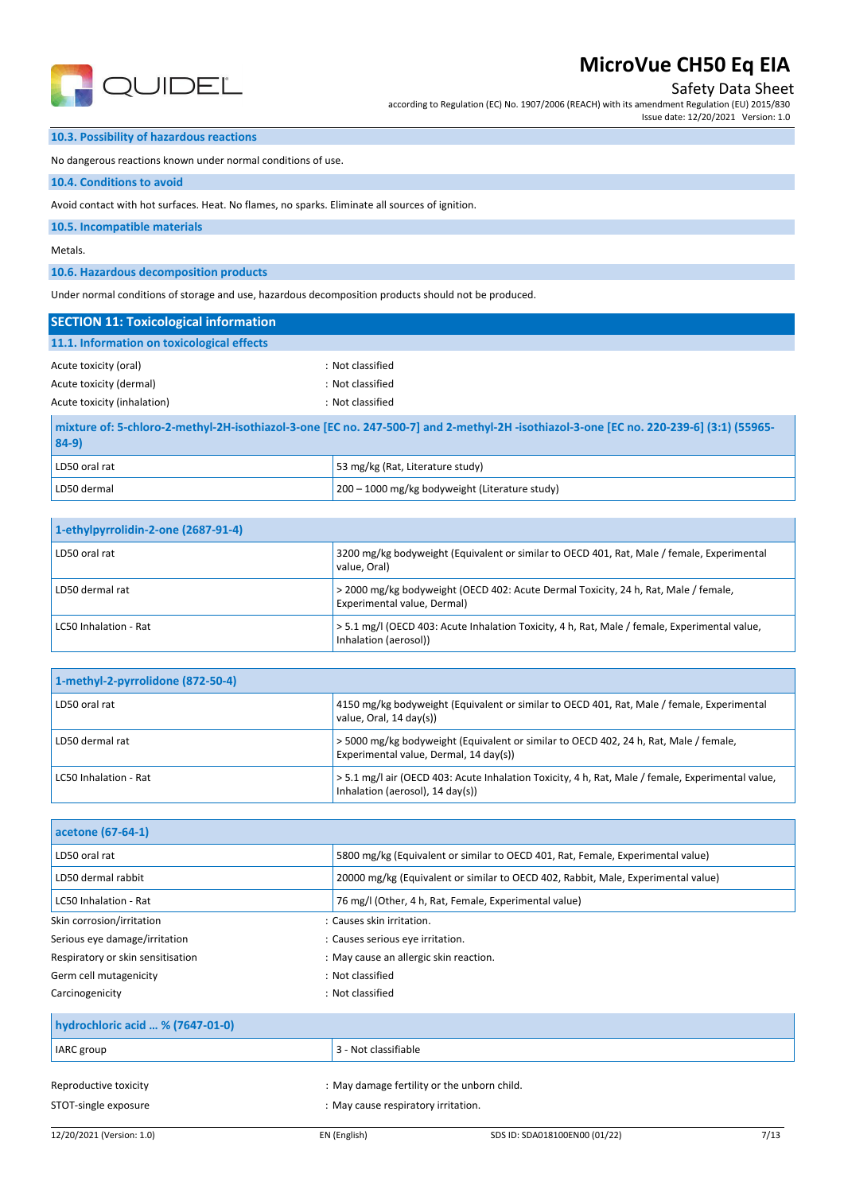

Safety Data Sheet

according to Regulation (EC) No. 1907/2006 (REACH) with its amendment Regulation (EU) 2015/830 Issue date: 12/20/2021 Version: 1.0

### **10.3. Possibility of hazardous reactions**

No dangerous reactions known under normal conditions of use.

#### **10.4. Conditions to avoid**

Avoid contact with hot surfaces. Heat. No flames, no sparks. Eliminate all sources of ignition.

#### **10.5. Incompatible materials**

Metals.

### **10.6. Hazardous decomposition products**

Under normal conditions of storage and use, hazardous decomposition products should not be produced.

| <b>SECTION 11: Toxicological information</b> |                                                                                                                                        |  |
|----------------------------------------------|----------------------------------------------------------------------------------------------------------------------------------------|--|
| 11.1. Information on toxicological effects   |                                                                                                                                        |  |
| Acute toxicity (oral)                        | : Not classified                                                                                                                       |  |
| Acute toxicity (dermal)                      | : Not classified                                                                                                                       |  |
| Acute toxicity (inhalation)                  | : Not classified                                                                                                                       |  |
| 0.801                                        | mixture of: 5-chloro-2-methyl-2H-isothiazol-3-one [EC no. 247-500-7] and 2-methyl-2H-isothiazol-3-one [EC no. 220-239-6] (3:1) (55965- |  |

| 104-Y)        |                                                |
|---------------|------------------------------------------------|
| LD50 oral rat | 53 mg/kg (Rat, Literature study)               |
| LD50 dermal   | 200 - 1000 mg/kg bodyweight (Literature study) |

| 1-ethylpyrrolidin-2-one (2687-91-4) |                                                                                                                        |  |
|-------------------------------------|------------------------------------------------------------------------------------------------------------------------|--|
| LD50 oral rat                       | 3200 mg/kg bodyweight (Equivalent or similar to OECD 401, Rat, Male / female, Experimental<br>value. Oral)             |  |
| LD50 dermal rat                     | > 2000 mg/kg bodyweight (OECD 402: Acute Dermal Toxicity, 24 h, Rat, Male / female,<br>Experimental value, Dermal)     |  |
| LC50 Inhalation - Rat               | > 5.1 mg/l (OECD 403: Acute Inhalation Toxicity, 4 h, Rat, Male / female, Experimental value,<br>Inhalation (aerosol)) |  |

| 1-methyl-2-pyrrolidone (872-50-4) |                                                                                                                                       |
|-----------------------------------|---------------------------------------------------------------------------------------------------------------------------------------|
| LD50 oral rat                     | 4150 mg/kg bodyweight (Equivalent or similar to OECD 401, Rat, Male / female, Experimental<br>value, Oral, 14 day(s))                 |
| <sup>1</sup> LD50 dermal rat      | > 5000 mg/kg bodyweight (Equivalent or similar to OECD 402, 24 h, Rat, Male / female,<br>Experimental value, Dermal, 14 day(s))       |
| LC50 Inhalation - Rat             | > 5.1 mg/l air (OECD 403: Acute Inhalation Toxicity, 4 h, Rat, Male / female, Experimental value,<br>Inhalation (aerosol), 14 day(s)) |

| acetone (67-64-1)                 |                                                                                   |
|-----------------------------------|-----------------------------------------------------------------------------------|
| LD50 oral rat                     | 5800 mg/kg (Equivalent or similar to OECD 401, Rat, Female, Experimental value)   |
| LD50 dermal rabbit                | 20000 mg/kg (Equivalent or similar to OECD 402, Rabbit, Male, Experimental value) |
| LC50 Inhalation - Rat             | 76 mg/l (Other, 4 h, Rat, Female, Experimental value)                             |
| Skin corrosion/irritation         | : Causes skin irritation.                                                         |
| Serious eye damage/irritation     | : Causes serious eye irritation.                                                  |
| Respiratory or skin sensitisation | : May cause an allergic skin reaction.                                            |
| Germ cell mutagenicity            | : Not classified                                                                  |
| Carcinogenicity                   | : Not classified                                                                  |

| hydrochloric acid  % (7647-01-0)              |                                                                                    |  |
|-----------------------------------------------|------------------------------------------------------------------------------------|--|
| IARC group                                    | 3 - Not classifiable                                                               |  |
| Reproductive toxicity<br>STOT-single exposure | : May damage fertility or the unborn child.<br>: May cause respiratory irritation. |  |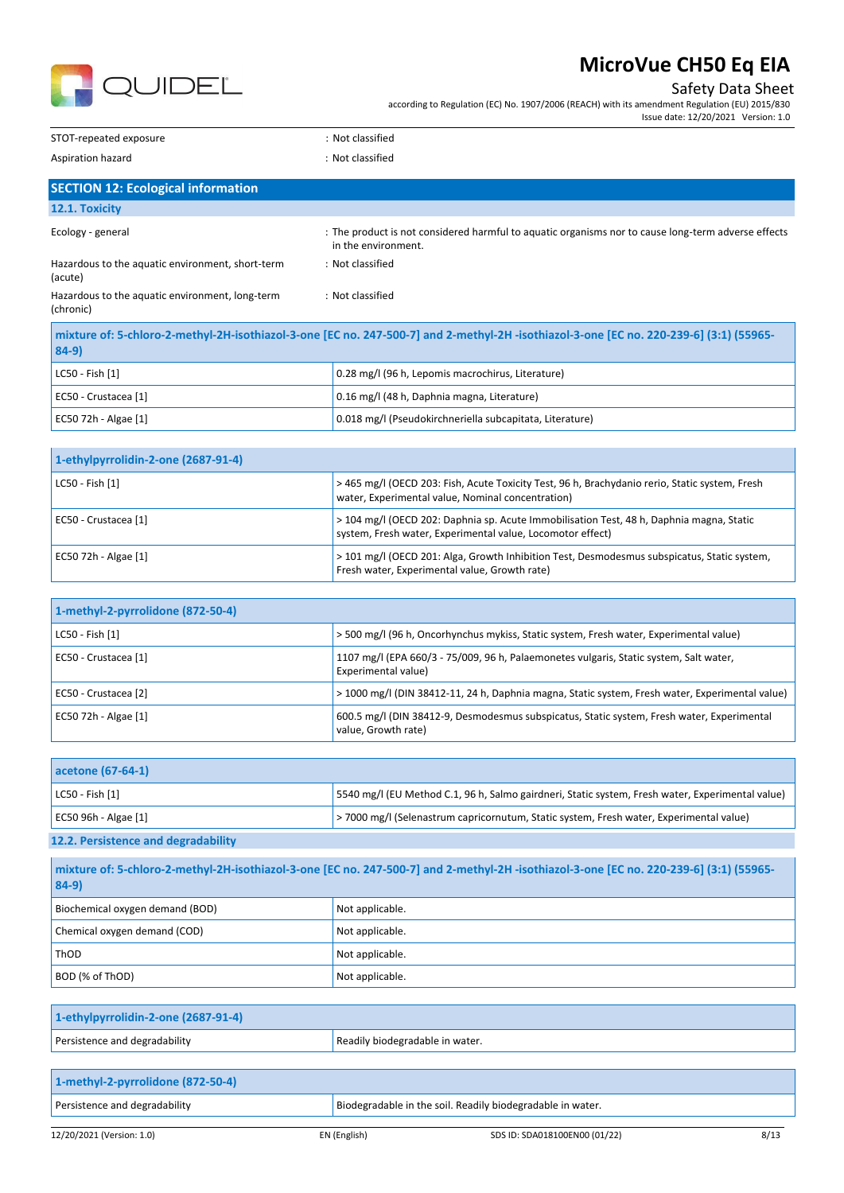

### Safety Data Sheet

Issue date: 12/20/2021 Version: 1.0

according to Regulation (EC) No. 1907/2006 (REACH) with its amendment Regulation (EU) 2015/830

STOT-repeated exposure in the state of the state of the STOT-repeated exposure

Aspiration hazard **in the case of the contract of the case of the contract of the contract of the contract of the contract of the contract of the contract of the contract of the contract of the contract of the contract of** 

EC50 72h - Algae [1] 0.018 mg/l (Pseudokirchneriella subcapitata, Literature)

| <b>SECTION 12: Ecological information</b>                                                                                                          |                                                                                                                            |  |
|----------------------------------------------------------------------------------------------------------------------------------------------------|----------------------------------------------------------------------------------------------------------------------------|--|
| 12.1. Toxicity                                                                                                                                     |                                                                                                                            |  |
| Ecology - general                                                                                                                                  | : The product is not considered harmful to aquatic organisms nor to cause long-term adverse effects<br>in the environment. |  |
| Hazardous to the aquatic environment, short-term<br>(acute)                                                                                        | : Not classified                                                                                                           |  |
| Hazardous to the aquatic environment, long-term<br>(chronic)                                                                                       | : Not classified                                                                                                           |  |
| mixture of: 5-chloro-2-methyl-2H-isothiazol-3-one [EC no. 247-500-7] and 2-methyl-2H -isothiazol-3-one [EC no. 220-239-6] (3:1) (55965-<br>$84-9)$ |                                                                                                                            |  |
| LC50 - Fish [1]                                                                                                                                    | 0.28 mg/l (96 h, Lepomis macrochirus, Literature)                                                                          |  |
| EC50 - Crustacea [1]                                                                                                                               | 0.16 mg/l (48 h, Daphnia magna, Literature)                                                                                |  |

| 1-ethylpyrrolidin-2-one (2687-91-4) |                                                                                                                                                        |
|-------------------------------------|--------------------------------------------------------------------------------------------------------------------------------------------------------|
| LC50 - Fish [1]                     | >465 mg/l (OECD 203: Fish, Acute Toxicity Test, 96 h, Brachydanio rerio, Static system, Fresh<br>water, Experimental value, Nominal concentration)     |
| EC50 - Crustacea [1]                | > 104 mg/l (OECD 202: Daphnia sp. Acute Immobilisation Test, 48 h, Daphnia magna, Static<br>system, Fresh water, Experimental value, Locomotor effect) |
| EC50 72h - Algae [1]                | > 101 mg/l (OECD 201: Alga, Growth Inhibition Test, Desmodesmus subspicatus, Static system,<br>Fresh water, Experimental value, Growth rate)           |

| 1-methyl-2-pyrrolidone (872-50-4) |                                                                                                                   |
|-----------------------------------|-------------------------------------------------------------------------------------------------------------------|
| LC50 - Fish [1]                   | > 500 mg/l (96 h, Oncorhynchus mykiss, Static system, Fresh water, Experimental value)                            |
| EC50 - Crustacea [1]              | 1107 mg/l (EPA 660/3 - 75/009, 96 h, Palaemonetes vulgaris, Static system, Salt water,<br>Experimental value)     |
| EC50 - Crustacea [2]              | > 1000 mg/l (DIN 38412-11, 24 h, Daphnia magna, Static system, Fresh water, Experimental value)                   |
| EC50 72h - Algae [1]              | 600.5 mg/l (DIN 38412-9, Desmodesmus subspicatus, Static system, Fresh water, Experimental<br>value, Growth rate) |

| acetone (67-64-1)                                                                                                                                                |                                                                                                   |
|------------------------------------------------------------------------------------------------------------------------------------------------------------------|---------------------------------------------------------------------------------------------------|
| $ $ LC50 - Fish $[1]$                                                                                                                                            | [5540 mg/l (EU Method C.1, 96 h, Salmo gairdneri, Static system, Fresh water, Experimental value) |
| EC50 96h - Algae $[1]$                                                                                                                                           | >7000 mg/l (Selenastrum capricornutum, Static system, Fresh water, Experimental value)            |
| $\mathbf{a} \cdot \mathbf{a} \cdot \mathbf{b} = \mathbf{a} \cdot \mathbf{b}$ , and a set $\mathbf{a} \cdot \mathbf{b}$ , and a set $\mathbf{a} \cdot \mathbf{b}$ |                                                                                                   |

#### **12.2. Persistence and degradability**

| mixture of: 5-chloro-2-methyl-2H-isothiazol-3-one [EC no. 247-500-7] and 2-methyl-2H-isothiazol-3-one [EC no. 220-239-6] (3:1) (55965-<br>$ 84-9 $ |                 |
|----------------------------------------------------------------------------------------------------------------------------------------------------|-----------------|
| Biochemical oxygen demand (BOD)                                                                                                                    | Not applicable. |
| Chemical oxygen demand (COD)                                                                                                                       | Not applicable. |
| ThOD                                                                                                                                               | Not applicable. |
| BOD (% of ThOD)                                                                                                                                    | Not applicable. |

| 1-ethylpyrrolidin-2-one (2687-91-4) |                                 |
|-------------------------------------|---------------------------------|
| Persistence and degradability       | Readily biodegradable in water. |

| 1-methyl-2-pyrrolidone (872-50-4) |              |                                                            |      |
|-----------------------------------|--------------|------------------------------------------------------------|------|
| Persistence and degradability     |              | Biodegradable in the soil. Readily biodegradable in water. |      |
| 12/20/2021 (Version: 1.0)         | EN (English) | SDS ID: SDA018100EN00 (01/22)                              | 8/13 |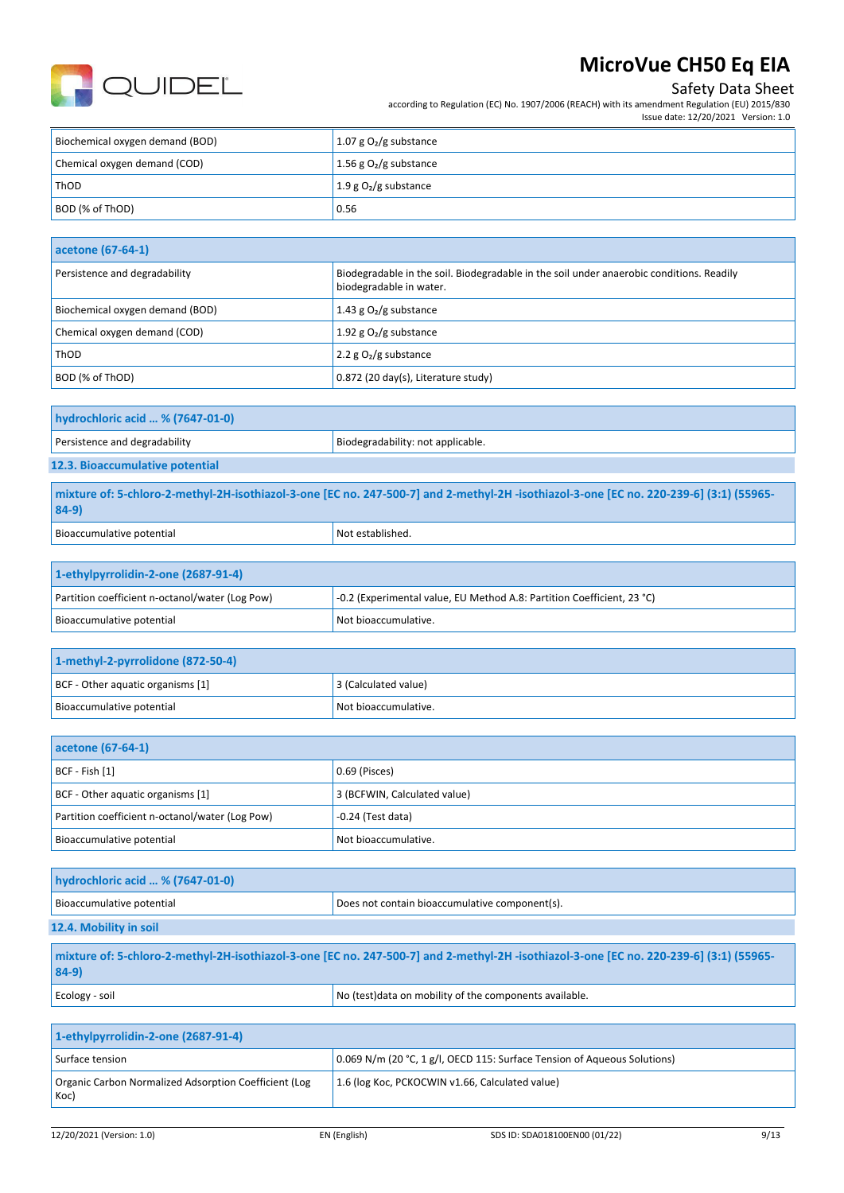

## Safety Data Sheet

according to Regulation (EC) No. 1907/2006 (REACH) with its amendment Regulation (EU) 2015/830 Issue date: 12/20/2021 Version: 1.0

| Biochemical oxygen demand (BOD) | 1.07 g $O2$ /g substance                  |
|---------------------------------|-------------------------------------------|
| Chemical oxygen demand (COD)    | 1.56 g $O2/g$ substance                   |
| ThOD                            | $\vert$ 1.9 g O <sub>2</sub> /g substance |
| BOD (% of ThOD)                 | 0.56                                      |

| acetone (67-64-1)               |                                                                                                                     |
|---------------------------------|---------------------------------------------------------------------------------------------------------------------|
| Persistence and degradability   | Biodegradable in the soil. Biodegradable in the soil under anaerobic conditions. Readily<br>biodegradable in water. |
| Biochemical oxygen demand (BOD) | 1.43 g $O_2/g$ substance                                                                                            |
| Chemical oxygen demand (COD)    | 1.92 g $O_2/g$ substance                                                                                            |
| ThOD                            | 2.2 $g O2/g$ substance                                                                                              |
| BOD (% of ThOD)                 | 0.872 (20 day(s), Literature study)                                                                                 |

| hydrochloric acid  % (7647-01-0) |                                   |
|----------------------------------|-----------------------------------|
| Persistence and degradability    | Biodegradability: not applicable. |
| 12.3. Bioaccumulative potential  |                                   |

**mixture of: 5-chloro-2-methyl-2H-isothiazol-3-one [EC no. 247-500-7] and 2-methyl-2H -isothiazol-3-one [EC no. 220-239-6] (3:1) (55965- 84-9)** Bioaccumulative potential Notestablished.

| 1-ethylpyrrolidin-2-one (2687-91-4)             |                                                                        |  |
|-------------------------------------------------|------------------------------------------------------------------------|--|
| Partition coefficient n-octanol/water (Log Pow) | -0.2 (Experimental value, EU Method A.8: Partition Coefficient, 23 °C) |  |
| Bioaccumulative potential                       | Not bioaccumulative.                                                   |  |

| 1-methyl-2-pyrrolidone (872-50-4) |                      |
|-----------------------------------|----------------------|
| BCF - Other aquatic organisms [1] | 3 (Calculated value) |
| Bioaccumulative potential         | Not bioaccumulative. |

| acetone (67-64-1)                               |                              |
|-------------------------------------------------|------------------------------|
| $ BCF - Fish [1]$                               | 0.69 (Pisces)                |
| BCF - Other aquatic organisms [1]               | 3 (BCFWIN, Calculated value) |
| Partition coefficient n-octanol/water (Log Pow) | $-0.24$ (Test data)          |
| Bioaccumulative potential                       | Not bioaccumulative.         |

| hydrochloric acid  % (7647-01-0) |                                                |
|----------------------------------|------------------------------------------------|
| Bioaccumulative potential        | Does not contain bioaccumulative component(s). |
| 12.4. Mobility in soil           |                                                |

| mixture of: 5-chloro-2-methyl-2H-isothiazol-3-one [EC no. 247-500-7] and 2-methyl-2H-isothiazol-3-one [EC no. 220-239-6] (3:1) (55965-<br>$84-9$ |                                                         |
|--------------------------------------------------------------------------------------------------------------------------------------------------|---------------------------------------------------------|
| Ecology - soil                                                                                                                                   | No (test) data on mobility of the components available. |

| 1-ethylpyrrolidin-2-one (2687-91-4)                           |                                                                          |
|---------------------------------------------------------------|--------------------------------------------------------------------------|
| Surface tension                                               | 0.069 N/m (20 °C, 1 g/l, OECD 115: Surface Tension of Aqueous Solutions) |
| Organic Carbon Normalized Adsorption Coefficient (Log<br>Koc) | 1.6 (log Koc, PCKOCWIN v1.66, Calculated value)                          |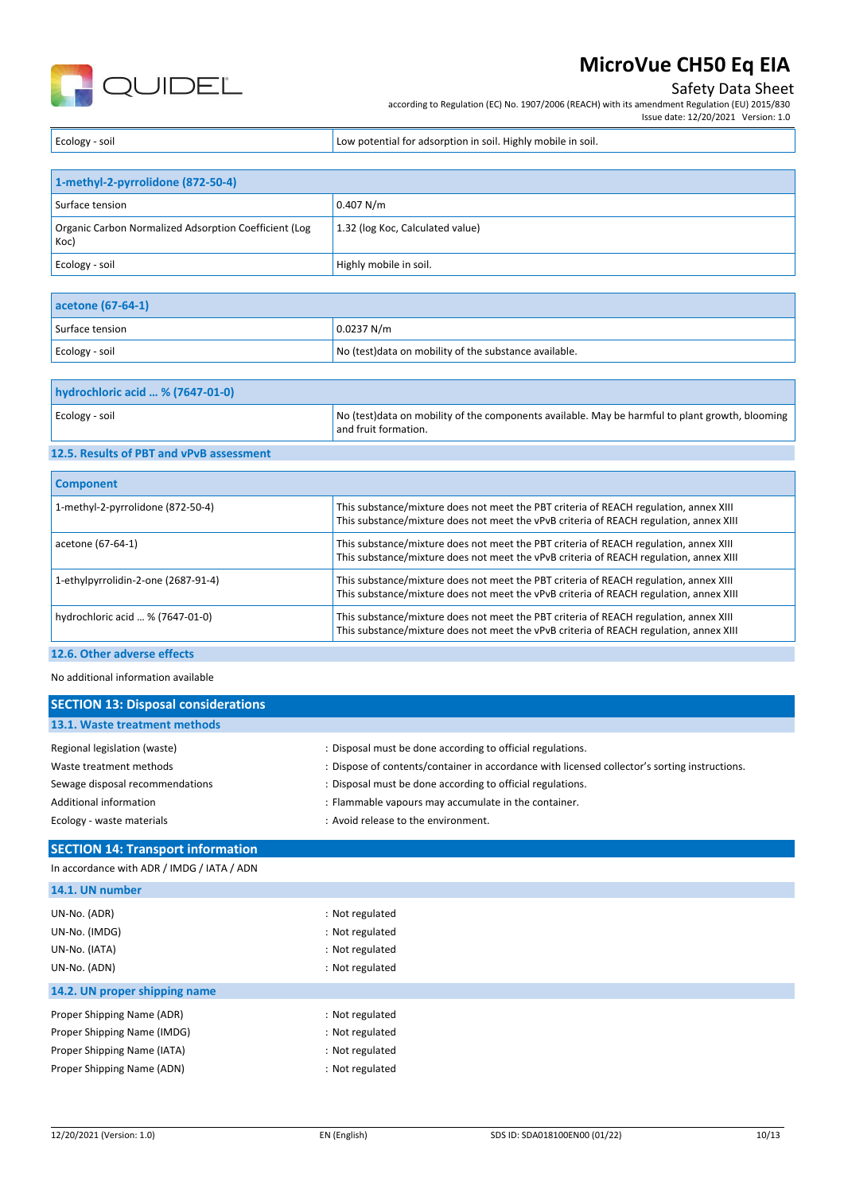

### Safety Data Sheet

according to Regulation (EC) No. 1907/2006 (REACH) with its amendment Regulation (EU) 2015/830

Issue date: 12/20/2021 Version: 1.0

Ecology - soil **Ecology** - soil Low potential for adsorption in soil. Highly mobile in soil.

| 1-methyl-2-pyrrolidone (872-50-4)                             |                                  |
|---------------------------------------------------------------|----------------------------------|
| Surface tension                                               | 0.407 N/m                        |
| Organic Carbon Normalized Adsorption Coefficient (Log<br>Koc) | 1.32 (log Koc, Calculated value) |
| Ecology - soil                                                | Highly mobile in soil.           |

| acetone (67-64-1) |                                                        |
|-------------------|--------------------------------------------------------|
| Surface tension   | 0.0237 N/m                                             |
| Ecology - soil    | No (test) data on mobility of the substance available. |

| hydrochloric acid  % (7647-01-0) |                                                                                                                          |
|----------------------------------|--------------------------------------------------------------------------------------------------------------------------|
| Ecology - soil                   | No (test) data on mobility of the components available. May be harmful to plant growth, blooming<br>and fruit formation. |

#### **12.5. Results of PBT and vPvB assessment**

| <b>Component</b>                    |                                                                                                                                                                                 |
|-------------------------------------|---------------------------------------------------------------------------------------------------------------------------------------------------------------------------------|
| 1-methyl-2-pyrrolidone (872-50-4)   | This substance/mixture does not meet the PBT criteria of REACH regulation, annex XIII<br>This substance/mixture does not meet the vPvB criteria of REACH regulation, annex XIII |
| acetone (67-64-1)                   | This substance/mixture does not meet the PBT criteria of REACH regulation, annex XIII<br>This substance/mixture does not meet the vPvB criteria of REACH regulation, annex XIII |
| 1-ethylpyrrolidin-2-one (2687-91-4) | This substance/mixture does not meet the PBT criteria of REACH regulation, annex XIII<br>This substance/mixture does not meet the vPvB criteria of REACH regulation, annex XIII |
| hydrochloric acid  % (7647-01-0)    | This substance/mixture does not meet the PBT criteria of REACH regulation, annex XIII<br>This substance/mixture does not meet the vPvB criteria of REACH regulation, annex XIII |
|                                     |                                                                                                                                                                                 |

### **12.6. Other adverse effects**

No additional information available

| <b>SECTION 13: Disposal considerations</b> |                                                                                               |
|--------------------------------------------|-----------------------------------------------------------------------------------------------|
| 13.1. Waste treatment methods              |                                                                                               |
| Regional legislation (waste)               | : Disposal must be done according to official regulations.                                    |
| Waste treatment methods                    | : Dispose of contents/container in accordance with licensed collector's sorting instructions. |
| Sewage disposal recommendations            | : Disposal must be done according to official regulations.                                    |
| Additional information                     | : Flammable vapours may accumulate in the container.                                          |
| Ecology - waste materials                  | : Avoid release to the environment.                                                           |

### **SECTION 14: Transport information**

### In accordance with ADR / IMDG / IATA / ADN

| <b>14.1. UN HUHBEL</b>        |                 |
|-------------------------------|-----------------|
| UN-No. (ADR)                  | : Not regulated |
| UN-No. (IMDG)                 | : Not regulated |
| UN-No. (IATA)                 | : Not regulated |
| UN-No. (ADN)                  | : Not regulated |
| 14.2. UN proper shipping name |                 |
| Proper Shipping Name (ADR)    | : Not regulated |
| Proper Shipping Name (IMDG)   | : Not regulated |
| Proper Shipping Name (IATA)   | : Not regulated |
| Proper Shipping Name (ADN)    | : Not regulated |
|                               |                 |

**14.1. UN number**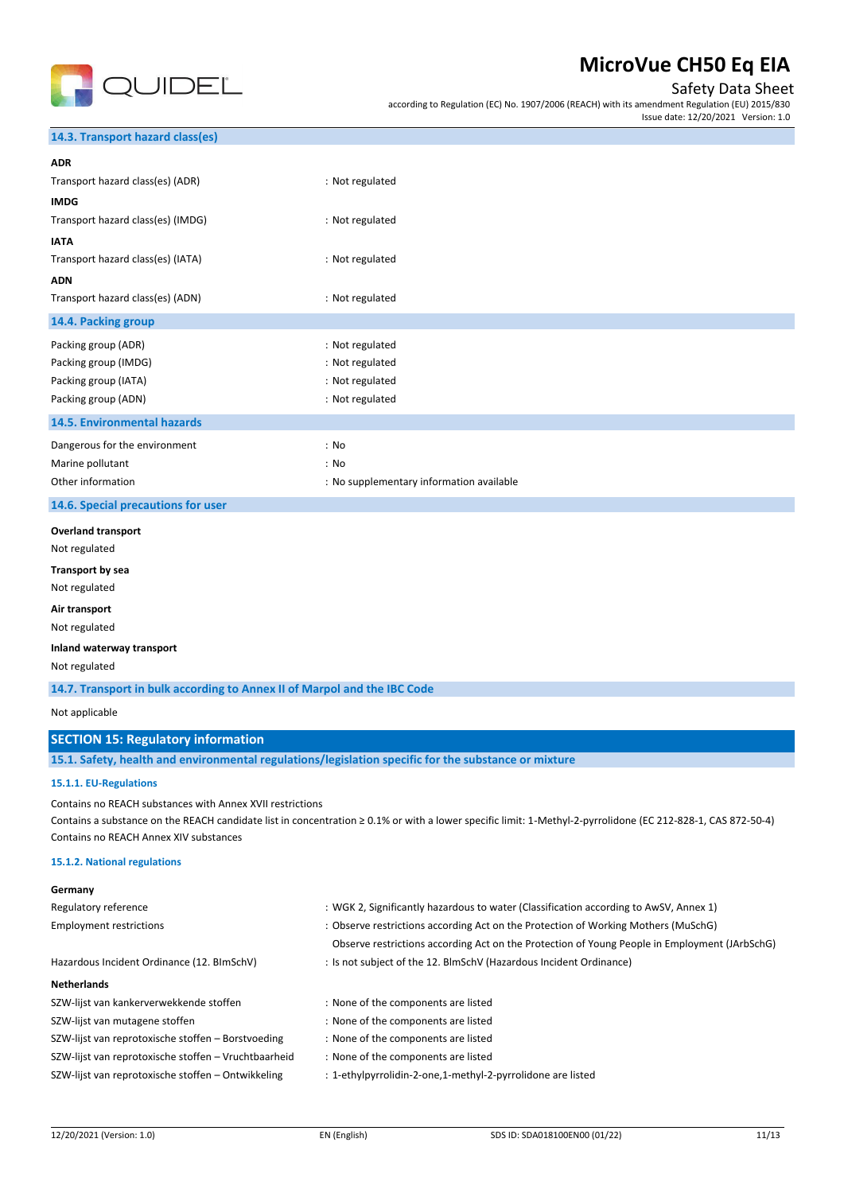

### Safety Data Sheet

according to Regulation (EC) No. 1907/2006 (REACH) with its amendment Regulation (EU) 2015/830 Issue date: 12/20/2021 Version: 1.0

### **14.3. Transport hazard class(es)**

| <b>ADR</b>                         |                                          |
|------------------------------------|------------------------------------------|
| Transport hazard class(es) (ADR)   | : Not regulated                          |
| <b>IMDG</b>                        |                                          |
| Transport hazard class(es) (IMDG)  | : Not regulated                          |
| <b>IATA</b>                        |                                          |
| Transport hazard class(es) (IATA)  | : Not regulated                          |
| <b>ADN</b>                         |                                          |
| Transport hazard class(es) (ADN)   | : Not regulated                          |
| 14.4. Packing group                |                                          |
| Packing group (ADR)                | : Not regulated                          |
| Packing group (IMDG)               | : Not regulated                          |
| Packing group (IATA)               | : Not regulated                          |
| Packing group (ADN)                | : Not regulated                          |
| 14.5. Environmental hazards        |                                          |
| Dangerous for the environment      | : No                                     |
| Marine pollutant                   | : No                                     |
| Other information                  | : No supplementary information available |
| 14.6. Special precautions for user |                                          |
| <b>Overland transport</b>          |                                          |
| Not regulated                      |                                          |
| Transport by sea                   |                                          |
| Not regulated                      |                                          |
| Air transport                      |                                          |
| Not regulated                      |                                          |
| Inland waterway transport          |                                          |

Not regulated

**14.7. Transport in bulk according to Annex II of Marpol and the IBC Code**

Not applicable

#### **SECTION 15: Regulatory information**

**15.1. Safety, health and environmental regulations/legislation specific for the substance or mixture**

#### **15.1.1. EU-Regulations**

Contains no REACH substances with Annex XVII restrictions

Contains a substance on the REACH candidate list in concentration ≥ 0.1% or with a lower specific limit: 1-Methyl-2-pyrrolidone (EC 212-828-1, CAS 872-50-4) Contains no REACH Annex XIV substances

#### **15.1.2. National regulations**

| Germany                                              |                                                                                               |
|------------------------------------------------------|-----------------------------------------------------------------------------------------------|
| Regulatory reference                                 | : WGK 2, Significantly hazardous to water (Classification according to AwSV, Annex 1)         |
| <b>Employment restrictions</b>                       | : Observe restrictions according Act on the Protection of Working Mothers (MuSchG)            |
|                                                      | Observe restrictions according Act on the Protection of Young People in Employment (JArbSchG) |
| Hazardous Incident Ordinance (12. BImSchV)           | : Is not subject of the 12. BlmSchV (Hazardous Incident Ordinance)                            |
| <b>Netherlands</b>                                   |                                                                                               |
| SZW-lijst van kankerverwekkende stoffen              | : None of the components are listed                                                           |
| SZW-lijst van mutagene stoffen                       | : None of the components are listed                                                           |
| SZW-lijst van reprotoxische stoffen – Borstvoeding   | : None of the components are listed                                                           |
| SZW-lijst van reprotoxische stoffen - Vruchtbaarheid | : None of the components are listed                                                           |
| SZW-lijst van reprotoxische stoffen - Ontwikkeling   | : 1-ethylpyrrolidin-2-one,1-methyl-2-pyrrolidone are listed                                   |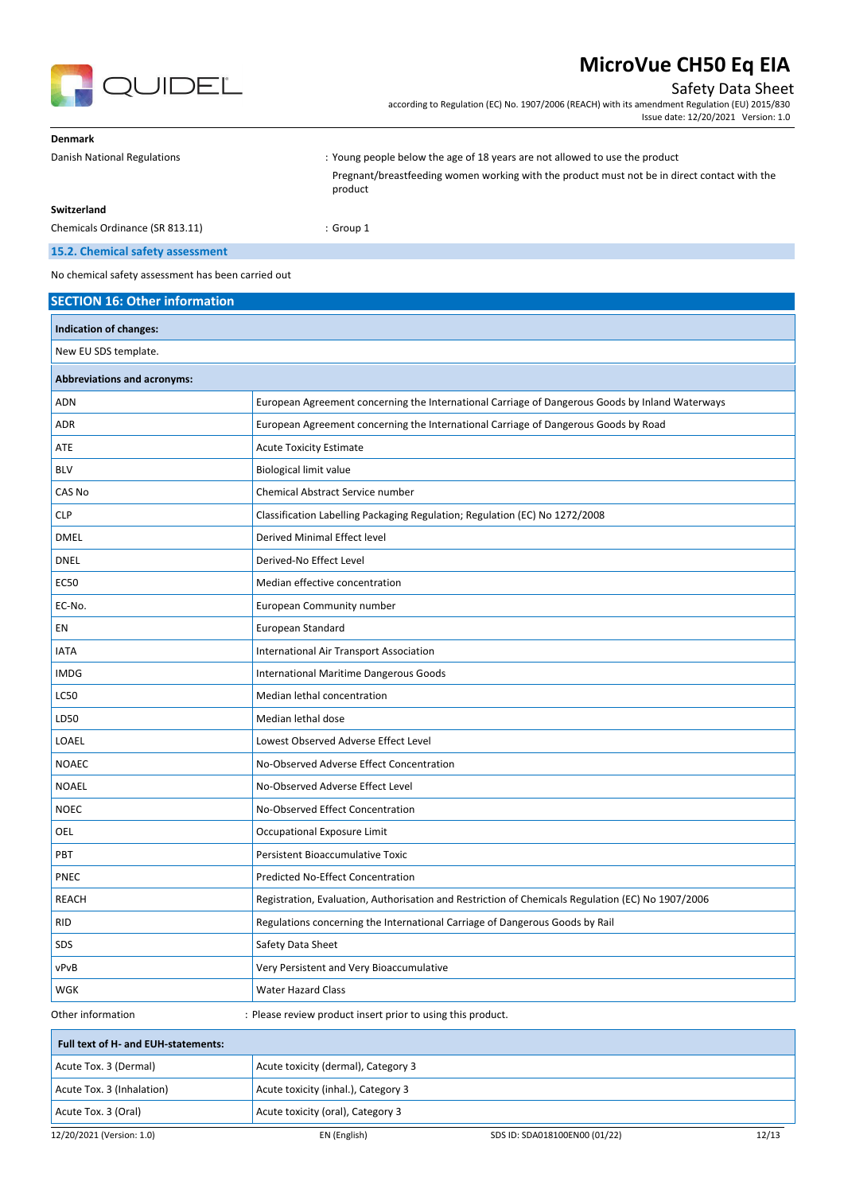

## Safety Data Sheet

according to Regulation (EC) No. 1907/2006 (REACH) with its amendment Regulation (EU) 2015/830 Issue date: 12/20/2021 Version: 1.0

| <b>Denmark</b>                  |                                                                                                         |
|---------------------------------|---------------------------------------------------------------------------------------------------------|
| Danish National Regulations     | : Young people below the age of 18 years are not allowed to use the product                             |
|                                 | Pregnant/breastfeeding women working with the product must not be in direct contact with the<br>product |
| Switzerland                     |                                                                                                         |
| Chemicals Ordinance (SR 813.11) | $:$ Group 1                                                                                             |

### **15.2. Chemical safety assessment**

No chemical safety assessment has been carried out

| <b>SECTION 16: Other information</b> |                                                                                                   |       |
|--------------------------------------|---------------------------------------------------------------------------------------------------|-------|
| Indication of changes:               |                                                                                                   |       |
| New EU SDS template.                 |                                                                                                   |       |
| <b>Abbreviations and acronyms:</b>   |                                                                                                   |       |
| <b>ADN</b>                           | European Agreement concerning the International Carriage of Dangerous Goods by Inland Waterways   |       |
| <b>ADR</b>                           | European Agreement concerning the International Carriage of Dangerous Goods by Road               |       |
| ATE                                  | <b>Acute Toxicity Estimate</b>                                                                    |       |
| <b>BLV</b>                           | <b>Biological limit value</b>                                                                     |       |
| CAS No                               | <b>Chemical Abstract Service number</b>                                                           |       |
| <b>CLP</b>                           | Classification Labelling Packaging Regulation; Regulation (EC) No 1272/2008                       |       |
| <b>DMEL</b>                          | Derived Minimal Effect level                                                                      |       |
| <b>DNEL</b>                          | Derived-No Effect Level                                                                           |       |
| <b>EC50</b>                          | Median effective concentration                                                                    |       |
| EC-No.                               | European Community number                                                                         |       |
| EN                                   | European Standard                                                                                 |       |
| <b>IATA</b>                          | International Air Transport Association                                                           |       |
| <b>IMDG</b>                          | International Maritime Dangerous Goods                                                            |       |
| <b>LC50</b>                          | Median lethal concentration                                                                       |       |
| LD50                                 | Median lethal dose                                                                                |       |
| LOAEL                                | Lowest Observed Adverse Effect Level                                                              |       |
| <b>NOAEC</b>                         | No-Observed Adverse Effect Concentration                                                          |       |
| <b>NOAEL</b>                         | No-Observed Adverse Effect Level                                                                  |       |
| <b>NOEC</b>                          | No-Observed Effect Concentration                                                                  |       |
| OEL                                  | Occupational Exposure Limit                                                                       |       |
| PBT                                  | Persistent Bioaccumulative Toxic                                                                  |       |
| PNEC                                 | Predicted No-Effect Concentration                                                                 |       |
| <b>REACH</b>                         | Registration, Evaluation, Authorisation and Restriction of Chemicals Regulation (EC) No 1907/2006 |       |
| <b>RID</b>                           | Regulations concerning the International Carriage of Dangerous Goods by Rail                      |       |
| SDS                                  | Safety Data Sheet                                                                                 |       |
| vPvB                                 | Very Persistent and Very Bioaccumulative                                                          |       |
| WGK                                  | Water Hazard Class                                                                                |       |
| Other information                    | : Please review product insert prior to using this product.                                       |       |
| Full text of H- and EUH-statements:  |                                                                                                   |       |
| Acute Tox. 3 (Dermal)                | Acute toxicity (dermal), Category 3                                                               |       |
| Acute Tox. 3 (Inhalation)            | Acute toxicity (inhal.), Category 3                                                               |       |
| Acute Tox. 3 (Oral)                  | Acute toxicity (oral), Category 3                                                                 |       |
| 12/20/2021 (Version: 1.0)            | EN (English)<br>SDS ID: SDA018100EN00 (01/22)                                                     | 12/13 |